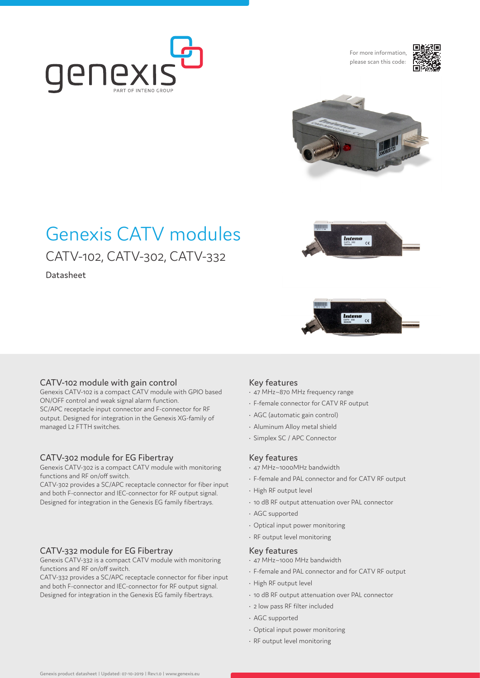

For more information, please scan this code:





# Genexis CATV modules CATV-102, CATV-302, CATV-332

Datasheet





# CATV-102 module with gain control

Genexis CATV-102 is a compact CATV module with GPIO based ON/OFF control and weak signal alarm function. SC/APC receptacle input connector and F-connector for RF output. Designed for integration in the Genexis XG-family of managed L2 FTTH switches.

## CATV-302 module for EG Fibertray

Genexis CATV-302 is a compact CATV module with monitoring functions and RF on/off switch.

CATV-302 provides a SC/APC receptacle connector for fiber input and both F-connector and IEC-connector for RF output signal. Designed for integration in the Genexis EG family fibertrays.

## CATV-332 module for EG Fibertray

Genexis CATV-332 is a compact CATV module with monitoring functions and RF on/off switch.

CATV-332 provides a SC/APC receptacle connector for fiber input and both F-connector and IEC-connector for RF output signal. Designed for integration in the Genexis EG family fibertrays.

#### Key features

- 47 MHz~870 MHz frequency range
- F-female connector for CATV RF output
- AGC (automatic gain control)
- Aluminum Alloy metal shield
- Simplex SC / APC Connector

#### Key features

- 47 MHz~1000MHz bandwidth
- F-female and PAL connector and for CATV RF output
- High RF output level
- 10 dB RF output attenuation over PAL connector
- AGC supported
- Optical input power monitoring
- RF output level monitoring

#### Key features

- 47 MHz~1000 MHz bandwidth
- F-female and PAL connector and for CATV RF output
- High RF output level
- 10 dB RF output attenuation over PAL connector
- 2 low pass RF filter included
- AGC supported
- Optical input power monitoring
- RF output level monitoring